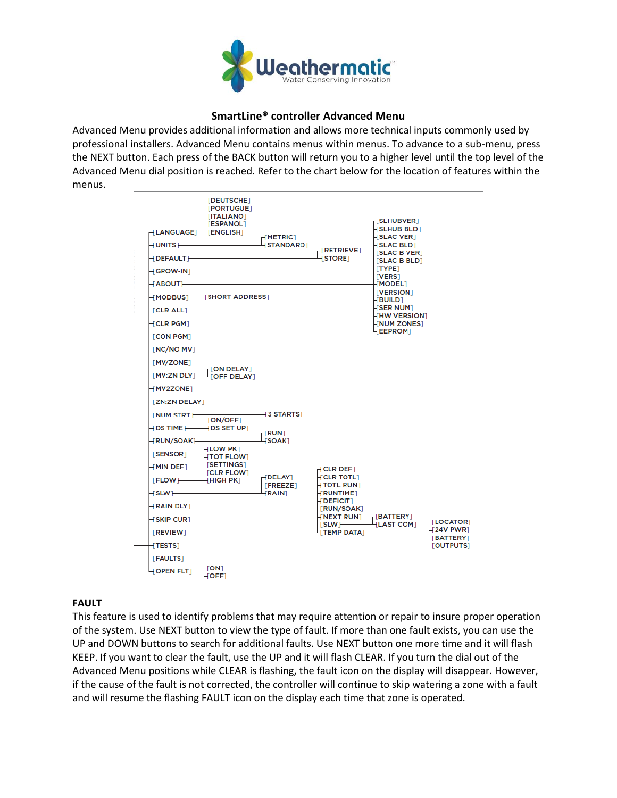

# **SmartLine® controller Advanced Menu**

Advanced Menu provides additional information and allows more technical inputs commonly used by professional installers. Advanced Menu contains menus within menus. To advance to a sub-menu, press the NEXT button. Each press of the BACK button will return you to a higher level until the top level of the Advanced Menu dial position is reached. Refer to the chart below for the location of features within the menus.

| <b>FDEUTSCHET</b><br><b>FPORTUGUET</b><br><b>TITALIANOT</b><br><b>FESPANOL</b><br>$-L$ ANGUAGE $]+$ [ENGLISH]<br>–[UNITS]—<br>-{DEFAULT}-<br>-FGROW-INT                                           | HMETRIC <sub>1</sub><br><b>STANDARD1</b>                | $\neg$ RETRIEVET<br><b>STORE1</b>                                                                                                      | -{SLHUBVER]<br><b>HSLHUB BLD1</b><br><b>LISLAC VERT</b><br><b>FSLAC BLD1</b><br>$\sqcup$ SLAC B VER $\rceil$<br>$\left\vert \text{SLAC B BLD}\right\vert$<br>HTYPE1<br>$HVERS$ ] |                                                                                 |
|---------------------------------------------------------------------------------------------------------------------------------------------------------------------------------------------------|---------------------------------------------------------|----------------------------------------------------------------------------------------------------------------------------------------|----------------------------------------------------------------------------------------------------------------------------------------------------------------------------------|---------------------------------------------------------------------------------|
| ⊣ ABOUT ⊢<br>-[MODBUS]-----[SHORT ADDRESS]<br>$\dashv$ CLR ALL1<br>$+$ CLR PGM $\scriptstyle\rm I$<br>$\pm$ CON PGM $\pm$<br>–[NC/NO MV]                                                          |                                                         |                                                                                                                                        | [MODEL]<br><b>TVERSION</b><br>HBUILD <sub>1</sub><br>$\sqrt{\text{SER NUM}}$<br><b>HHW VERSION</b><br><b>HNUM ZONEST</b><br><b>LEEPROM</b>                                       |                                                                                 |
| ⊣MV/ZONE1<br>$\neg$ ON DELAY $\neg$<br>–⊺MV:ZN DLY`⊢<br><b>FOFF DELAYT</b><br>$+$ MV2ZONE]<br><b>TZN:ZN DELAY</b><br>$\dashv$ NUM STRT $\dashv$<br><b>FON/OFF1</b>                                | - 3 STARTS 1                                            |                                                                                                                                        |                                                                                                                                                                                  |                                                                                 |
| $+$ DS TIME $-$<br>4 DS SET UP1<br>⊣RUN/SOAK1–<br><b>HLOW PK1</b><br>-F <b>SENSOR</b> 1<br><b>HTOT FLOW1</b><br><b>HSETTINGS</b><br>⊣MIN DEF1<br><b>HCLR FLOW1</b><br><b>THIGH PKT</b><br>⊣FLOW]— | ⊢FRUN⊺<br><b>FSOAK1</b><br>$H$ DELAY]<br><b>FREEZET</b> | $[CLR$ DEF]<br><b>HCLR TOTL1</b><br>$+$ TOTL RUN]                                                                                      |                                                                                                                                                                                  |                                                                                 |
| ⊣slw⊩<br>-{RAIN DLY]<br><b>SKIP CURT</b><br>⊣REVIEW⊩<br>⊣TESTS1–                                                                                                                                  | <b>FRAIN</b>                                            | <b>HRUNTIMET</b><br><b>HDEFICIT1</b><br>HRUN/SOAK1<br><b>HNEXT RUNT</b><br>$\mathsf{H}\mathsf{SLW}$ $\longmapsto$<br><b>TEMP DATA1</b> | $\sqcap$ BATTERY]<br><b>LAST COM1</b>                                                                                                                                            | HLOCATOR <sub>1</sub><br><b>T24V PWRT</b><br><b>BATTERY</b><br><b>FOUTPUTST</b> |
| $\sqrt{F}$ FAULTS $\sqrt{F}$<br>-[ON]<br><b>FOPEN FLTT</b><br>$\sqrt{\mathsf{OFF}}$                                                                                                               |                                                         |                                                                                                                                        |                                                                                                                                                                                  |                                                                                 |

#### **FAULT**

This feature is used to identify problems that may require attention or repair to insure proper operation of the system. Use NEXT button to view the type of fault. If more than one fault exists, you can use the UP and DOWN buttons to search for additional faults. Use NEXT button one more time and it will flash KEEP. If you want to clear the fault, use the UP and it will flash CLEAR. If you turn the dial out of the Advanced Menu positions while CLEAR is flashing, the fault icon on the display will disappear. However, if the cause of the fault is not corrected, the controller will continue to skip watering a zone with a fault and will resume the flashing FAULT icon on the display each time that zone is operated.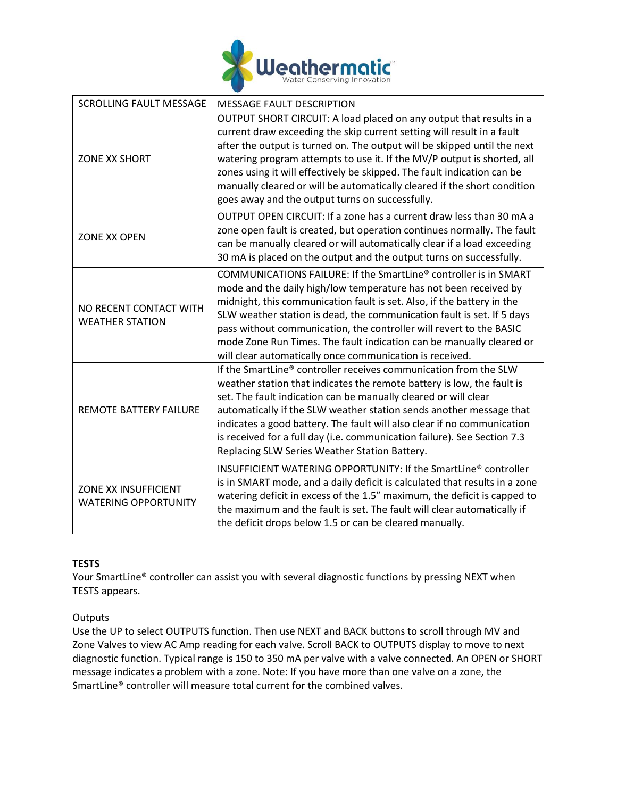

| <b>SCROLLING FAULT MESSAGE</b>                      | <b>MESSAGE FAULT DESCRIPTION</b>                                                                                                                                                                                                                                                                                                                                                                                                                                                                               |
|-----------------------------------------------------|----------------------------------------------------------------------------------------------------------------------------------------------------------------------------------------------------------------------------------------------------------------------------------------------------------------------------------------------------------------------------------------------------------------------------------------------------------------------------------------------------------------|
| ZONE XX SHORT                                       | OUTPUT SHORT CIRCUIT: A load placed on any output that results in a<br>current draw exceeding the skip current setting will result in a fault<br>after the output is turned on. The output will be skipped until the next<br>watering program attempts to use it. If the MV/P output is shorted, all<br>zones using it will effectively be skipped. The fault indication can be<br>manually cleared or will be automatically cleared if the short condition<br>goes away and the output turns on successfully. |
| <b>ZONE XX OPEN</b>                                 | OUTPUT OPEN CIRCUIT: If a zone has a current draw less than 30 mA a<br>zone open fault is created, but operation continues normally. The fault<br>can be manually cleared or will automatically clear if a load exceeding<br>30 mA is placed on the output and the output turns on successfully.                                                                                                                                                                                                               |
| NO RECENT CONTACT WITH<br><b>WEATHER STATION</b>    | COMMUNICATIONS FAILURE: If the SmartLine® controller is in SMART<br>mode and the daily high/low temperature has not been received by<br>midnight, this communication fault is set. Also, if the battery in the<br>SLW weather station is dead, the communication fault is set. If 5 days<br>pass without communication, the controller will revert to the BASIC<br>mode Zone Run Times. The fault indication can be manually cleared or<br>will clear automatically once communication is received.            |
| <b>REMOTE BATTERY FAILURE</b>                       | If the SmartLine® controller receives communication from the SLW<br>weather station that indicates the remote battery is low, the fault is<br>set. The fault indication can be manually cleared or will clear<br>automatically if the SLW weather station sends another message that<br>indicates a good battery. The fault will also clear if no communication<br>is received for a full day (i.e. communication failure). See Section 7.3<br>Replacing SLW Series Weather Station Battery.                   |
| ZONE XX INSUFFICIENT<br><b>WATERING OPPORTUNITY</b> | INSUFFICIENT WATERING OPPORTUNITY: If the SmartLine® controller<br>is in SMART mode, and a daily deficit is calculated that results in a zone<br>watering deficit in excess of the 1.5" maximum, the deficit is capped to<br>the maximum and the fault is set. The fault will clear automatically if<br>the deficit drops below 1.5 or can be cleared manually.                                                                                                                                                |

# **TESTS**

Your SmartLine® controller can assist you with several diagnostic functions by pressing NEXT when TESTS appears.

### **Outputs**

Use the UP to select OUTPUTS function. Then use NEXT and BACK buttons to scroll through MV and Zone Valves to view AC Amp reading for each valve. Scroll BACK to OUTPUTS display to move to next diagnostic function. Typical range is 150 to 350 mA per valve with a valve connected. An OPEN or SHORT message indicates a problem with a zone. Note: If you have more than one valve on a zone, the SmartLine® controller will measure total current for the combined valves.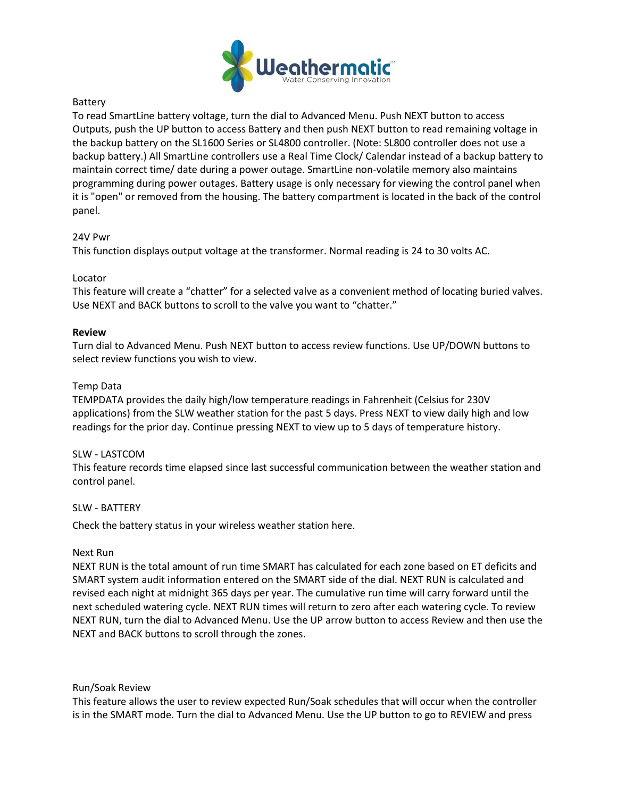

## Battery

To read SmartLine battery voltage, turn the dial to Advanced Menu. Push NEXT button to access Outputs, push the UP button to access Battery and then push NEXT button to read remaining voltage in the backup battery on the SL1600 Series or SL4800 controller. (Note: SL800 controller does not use a backup battery.) All SmartLine controllers use a Real Time Clock/ Calendar instead of a backup battery to maintain correct time/ date during a power outage. SmartLine non-volatile memory also maintains programming during power outages. Battery usage is only necessary for viewing the control panel when it is "open" or removed from the housing. The battery compartment is located in the back of the control panel.

### 24V Pwr

This function displays output voltage at the transformer. Normal reading is 24 to 30 volts AC.

## Locator

This feature will create a "chatter" for a selected valve as a convenient method of locating buried valves. Use NEXT and BACK buttons to scroll to the valve you want to "chatter."

## **Review**

Turn dial to Advanced Menu. Push NEXT button to access review functions. Use UP/DOWN buttons to select review functions you wish to view.

### Temp Data

TEMPDATA provides the daily high/low temperature readings in Fahrenheit (Celsius for 230V applications) from the SLW weather station for the past 5 days. Press NEXT to view daily high and low readings for the prior day. Continue pressing NEXT to view up to 5 days of temperature history.

### SLW - LASTCOM

This feature records time elapsed since last successful communication between the weather station and control panel.

### SLW - BATTERY

Check the battery status in your wireless weather station here.

### Next Run

NEXT RUN is the total amount of run time SMART has calculated for each zone based on ET deficits and SMART system audit information entered on the SMART side of the dial. NEXT RUN is calculated and revised each night at midnight 365 days per year. The cumulative run time will carry forward until the next scheduled watering cycle. NEXT RUN times will return to zero after each watering cycle. To review NEXT RUN, turn the dial to Advanced Menu. Use the UP arrow button to access Review and then use the NEXT and BACK buttons to scroll through the zones.

### Run/Soak Review

This feature allows the user to review expected Run/Soak schedules that will occur when the controller is in the SMART mode. Turn the dial to Advanced Menu. Use the UP button to go to REVIEW and press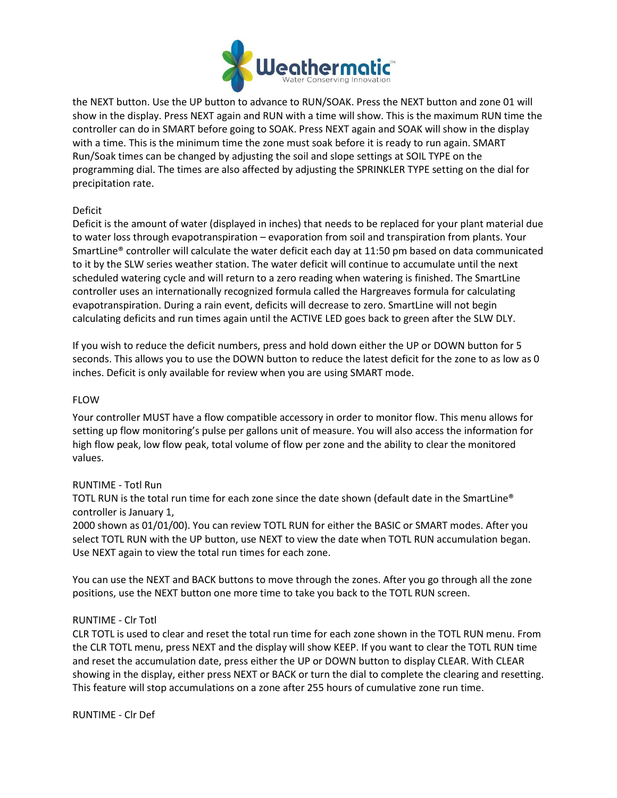

the NEXT button. Use the UP button to advance to RUN/SOAK. Press the NEXT button and zone 01 will show in the display. Press NEXT again and RUN with a time will show. This is the maximum RUN time the controller can do in SMART before going to SOAK. Press NEXT again and SOAK will show in the display with a time. This is the minimum time the zone must soak before it is ready to run again. SMART Run/Soak times can be changed by adjusting the soil and slope settings at SOIL TYPE on the programming dial. The times are also affected by adjusting the SPRINKLER TYPE setting on the dial for precipitation rate.

## Deficit

Deficit is the amount of water (displayed in inches) that needs to be replaced for your plant material due to water loss through evapotranspiration – evaporation from soil and transpiration from plants. Your SmartLine® controller will calculate the water deficit each day at 11:50 pm based on data communicated to it by the SLW series weather station. The water deficit will continue to accumulate until the next scheduled watering cycle and will return to a zero reading when watering is finished. The SmartLine controller uses an internationally recognized formula called the Hargreaves formula for calculating evapotranspiration. During a rain event, deficits will decrease to zero. SmartLine will not begin calculating deficits and run times again until the ACTIVE LED goes back to green after the SLW DLY.

If you wish to reduce the deficit numbers, press and hold down either the UP or DOWN button for 5 seconds. This allows you to use the DOWN button to reduce the latest deficit for the zone to as low as 0 inches. Deficit is only available for review when you are using SMART mode.

### FLOW

Your controller MUST have a flow compatible accessory in order to monitor flow. This menu allows for setting up flow monitoring's pulse per gallons unit of measure. You will also access the information for high flow peak, low flow peak, total volume of flow per zone and the ability to clear the monitored values.

### RUNTIME - Totl Run

TOTL RUN is the total run time for each zone since the date shown (default date in the SmartLine® controller is January 1,

2000 shown as 01/01/00). You can review TOTL RUN for either the BASIC or SMART modes. After you select TOTL RUN with the UP button, use NEXT to view the date when TOTL RUN accumulation began. Use NEXT again to view the total run times for each zone.

You can use the NEXT and BACK buttons to move through the zones. After you go through all the zone positions, use the NEXT button one more time to take you back to the TOTL RUN screen.

### RUNTIME - Clr Totl

CLR TOTL is used to clear and reset the total run time for each zone shown in the TOTL RUN menu. From the CLR TOTL menu, press NEXT and the display will show KEEP. If you want to clear the TOTL RUN time and reset the accumulation date, press either the UP or DOWN button to display CLEAR. With CLEAR showing in the display, either press NEXT or BACK or turn the dial to complete the clearing and resetting. This feature will stop accumulations on a zone after 255 hours of cumulative zone run time.

RUNTIME - Clr Def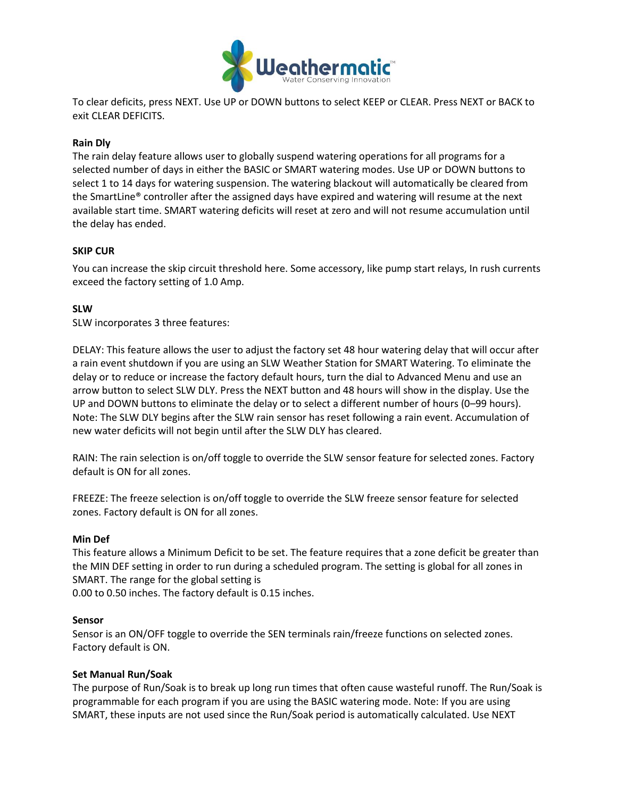

To clear deficits, press NEXT. Use UP or DOWN buttons to select KEEP or CLEAR. Press NEXT or BACK to exit CLEAR DEFICITS.

### **Rain Dly**

The rain delay feature allows user to globally suspend watering operations for all programs for a selected number of days in either the BASIC or SMART watering modes. Use UP or DOWN buttons to select 1 to 14 days for watering suspension. The watering blackout will automatically be cleared from the SmartLine® controller after the assigned days have expired and watering will resume at the next available start time. SMART watering deficits will reset at zero and will not resume accumulation until the delay has ended.

### **SKIP CUR**

You can increase the skip circuit threshold here. Some accessory, like pump start relays, In rush currents exceed the factory setting of 1.0 Amp.

### **SLW**

SLW incorporates 3 three features:

DELAY: This feature allows the user to adjust the factory set 48 hour watering delay that will occur after a rain event shutdown if you are using an SLW Weather Station for SMART Watering. To eliminate the delay or to reduce or increase the factory default hours, turn the dial to Advanced Menu and use an arrow button to select SLW DLY. Press the NEXT button and 48 hours will show in the display. Use the UP and DOWN buttons to eliminate the delay or to select a different number of hours (0–99 hours). Note: The SLW DLY begins after the SLW rain sensor has reset following a rain event. Accumulation of new water deficits will not begin until after the SLW DLY has cleared.

RAIN: The rain selection is on/off toggle to override the SLW sensor feature for selected zones. Factory default is ON for all zones.

FREEZE: The freeze selection is on/off toggle to override the SLW freeze sensor feature for selected zones. Factory default is ON for all zones.

#### **Min Def**

This feature allows a Minimum Deficit to be set. The feature requires that a zone deficit be greater than the MIN DEF setting in order to run during a scheduled program. The setting is global for all zones in SMART. The range for the global setting is

0.00 to 0.50 inches. The factory default is 0.15 inches.

#### **Sensor**

Sensor is an ON/OFF toggle to override the SEN terminals rain/freeze functions on selected zones. Factory default is ON.

#### **Set Manual Run/Soak**

The purpose of Run/Soak is to break up long run times that often cause wasteful runoff. The Run/Soak is programmable for each program if you are using the BASIC watering mode. Note: If you are using SMART, these inputs are not used since the Run/Soak period is automatically calculated. Use NEXT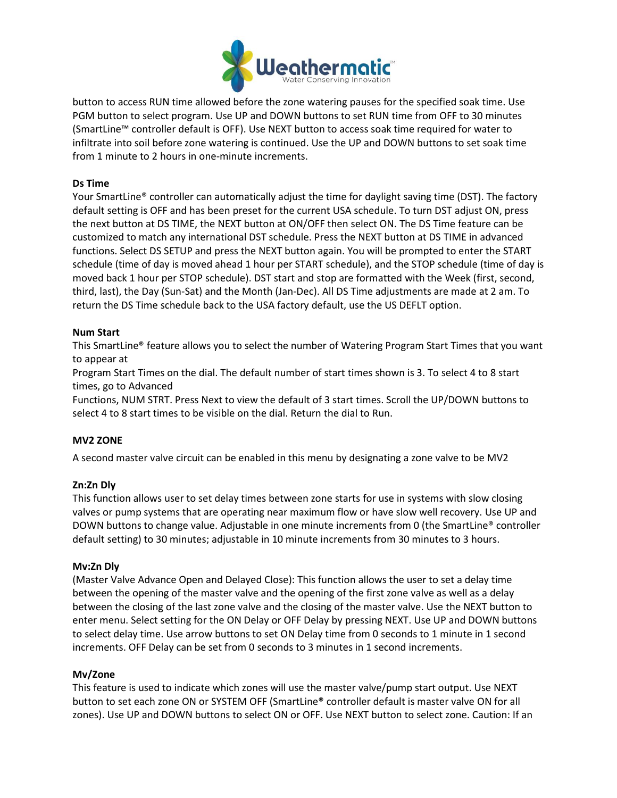

button to access RUN time allowed before the zone watering pauses for the specified soak time. Use PGM button to select program. Use UP and DOWN buttons to set RUN time from OFF to 30 minutes (SmartLine™ controller default is OFF). Use NEXT button to access soak time required for water to infiltrate into soil before zone watering is continued. Use the UP and DOWN buttons to set soak time from 1 minute to 2 hours in one-minute increments.

## **Ds Time**

Your SmartLine<sup>®</sup> controller can automatically adjust the time for daylight saving time (DST). The factory default setting is OFF and has been preset for the current USA schedule. To turn DST adjust ON, press the next button at DS TIME, the NEXT button at ON/OFF then select ON. The DS Time feature can be customized to match any international DST schedule. Press the NEXT button at DS TIME in advanced functions. Select DS SETUP and press the NEXT button again. You will be prompted to enter the START schedule (time of day is moved ahead 1 hour per START schedule), and the STOP schedule (time of day is moved back 1 hour per STOP schedule). DST start and stop are formatted with the Week (first, second, third, last), the Day (Sun-Sat) and the Month (Jan-Dec). All DS Time adjustments are made at 2 am. To return the DS Time schedule back to the USA factory default, use the US DEFLT option.

## **Num Start**

This SmartLine® feature allows you to select the number of Watering Program Start Times that you want to appear at

Program Start Times on the dial. The default number of start times shown is 3. To select 4 to 8 start times, go to Advanced

Functions, NUM STRT. Press Next to view the default of 3 start times. Scroll the UP/DOWN buttons to select 4 to 8 start times to be visible on the dial. Return the dial to Run.

### **MV2 ZONE**

A second master valve circuit can be enabled in this menu by designating a zone valve to be MV2

### **Zn:Zn Dly**

This function allows user to set delay times between zone starts for use in systems with slow closing valves or pump systems that are operating near maximum flow or have slow well recovery. Use UP and DOWN buttons to change value. Adjustable in one minute increments from 0 (the SmartLine® controller default setting) to 30 minutes; adjustable in 10 minute increments from 30 minutes to 3 hours.

### **Mv:Zn Dly**

(Master Valve Advance Open and Delayed Close): This function allows the user to set a delay time between the opening of the master valve and the opening of the first zone valve as well as a delay between the closing of the last zone valve and the closing of the master valve. Use the NEXT button to enter menu. Select setting for the ON Delay or OFF Delay by pressing NEXT. Use UP and DOWN buttons to select delay time. Use arrow buttons to set ON Delay time from 0 seconds to 1 minute in 1 second increments. OFF Delay can be set from 0 seconds to 3 minutes in 1 second increments.

### **Mv/Zone**

This feature is used to indicate which zones will use the master valve/pump start output. Use NEXT button to set each zone ON or SYSTEM OFF (SmartLine® controller default is master valve ON for all zones). Use UP and DOWN buttons to select ON or OFF. Use NEXT button to select zone. Caution: If an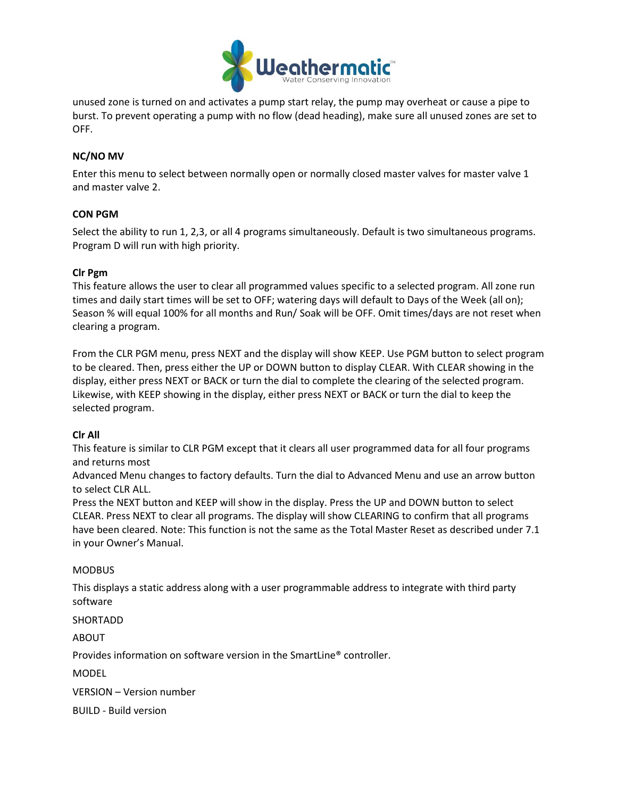

unused zone is turned on and activates a pump start relay, the pump may overheat or cause a pipe to burst. To prevent operating a pump with no flow (dead heading), make sure all unused zones are set to OFF.

## **NC/NO MV**

Enter this menu to select between normally open or normally closed master valves for master valve 1 and master valve 2.

### **CON PGM**

Select the ability to run 1, 2,3, or all 4 programs simultaneously. Default is two simultaneous programs. Program D will run with high priority.

## **Clr Pgm**

This feature allows the user to clear all programmed values specific to a selected program. All zone run times and daily start times will be set to OFF; watering days will default to Days of the Week (all on); Season % will equal 100% for all months and Run/ Soak will be OFF. Omit times/days are not reset when clearing a program.

From the CLR PGM menu, press NEXT and the display will show KEEP. Use PGM button to select program to be cleared. Then, press either the UP or DOWN button to display CLEAR. With CLEAR showing in the display, either press NEXT or BACK or turn the dial to complete the clearing of the selected program. Likewise, with KEEP showing in the display, either press NEXT or BACK or turn the dial to keep the selected program.

### **Clr All**

This feature is similar to CLR PGM except that it clears all user programmed data for all four programs and returns most

Advanced Menu changes to factory defaults. Turn the dial to Advanced Menu and use an arrow button to select CLR ALL.

Press the NEXT button and KEEP will show in the display. Press the UP and DOWN button to select CLEAR. Press NEXT to clear all programs. The display will show CLEARING to confirm that all programs have been cleared. Note: This function is not the same as the Total Master Reset as described under 7.1 in your Owner's Manual.

### MODBUS

This displays a static address along with a user programmable address to integrate with third party software

SHORTADD

ABOUT

Provides information on software version in the SmartLine® controller.

MODEL

VERSION – Version number

BUILD - Build version